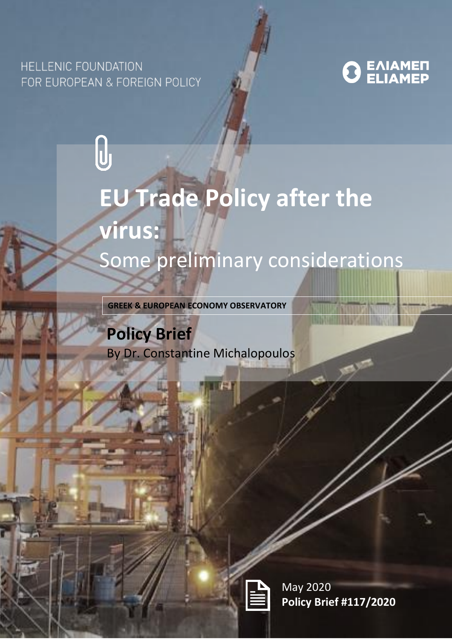## **HELLENIC FOUNDATION** FOR EUROPEAN & FOREIGN POLICY





**GREEK & EUROPEAN ECONOMY OBSERVATORY**

# **Policy Brief**  By Dr. Constantine Michalopoulos



May 2020 **Policy Brief #117/2020**

**TILLY GREETING THAT**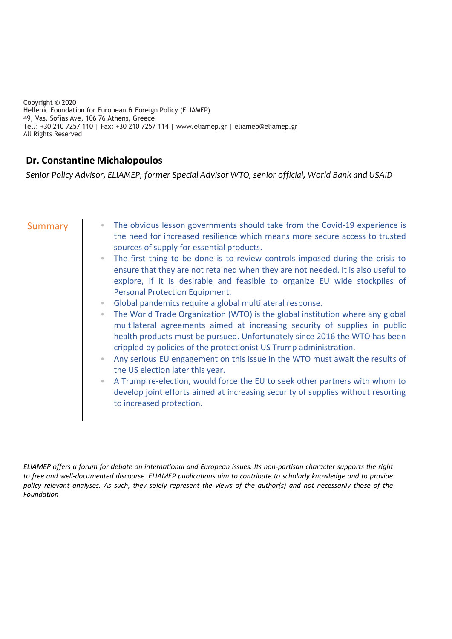Copyright © 2020 Hellenic Foundation for European & Foreign Policy (ELIAMEP) 49, Vas. Sofias Ave, 106 76 Athens, Greece Tel.: +30 210 7257 110 | Fax: +30 210 7257 114 | www.eliamep.gr | eliamep@eliamep.gr All Rights Reserved

### **Dr. Constantine Michalopoulos**

*Senior Policy Advisor, ELIAMEP, former Special Advisor WTO, senior official, World Bank and USAID*

- Summary **EXECUTE:** The obvious lesson governments should take from the Covid-19 experience is the need for increased resilience which means more secure access to trusted sources of supply for essential products.
	- The first thing to be done is to review controls imposed during the crisis to ensure that they are not retained when they are not needed. It is also useful to explore, if it is desirable and feasible to organize EU wide stockpiles of Personal Protection Equipment.
	- Global pandemics require a global multilateral response.
	- The World Trade Organization (WTO) is the global institution where any global multilateral agreements aimed at increasing security of supplies in public health products must be pursued. Unfortunately since 2016 the WTO has been crippled by policies of the protectionist US Trump administration.
	- Any serious EU engagement on this issue in the WTO must await the results of the US election later this year.
	- A Trump re-election, would force the EU to seek other partners with whom to develop joint efforts aimed at increasing security of supplies without resorting to increased protection.

*ELIAMEP offers a forum for debate on international and European issues. Its non-partisan character supports the right to free and well-documented discourse. ELIAMEP publications aim to contribute to scholarly knowledge and to provide policy relevant analyses. As such, they solely represent the views of the author(s) and not necessarily those of the Foundation*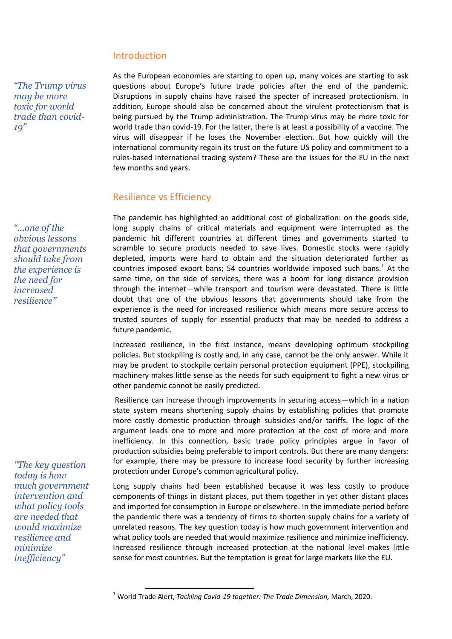#### Introduction

*"The Trump virus may be more toxic for world trade than covid-19"*

*"…one of the obvious lessons that governments should take from the experience is the need for increased resilience"*

*"The key question today is how much government intervention and what policy tools are needed that would maximize resilience and minimize inefficiency"*

As the European economies are starting to open up, many voices are starting to ask questions about Europe's future trade policies after the end of the pandemic. Disruptions in supply chains have raised the specter of increased protectionism. In addition, Europe should also be concerned about the virulent protectionism that is being pursued by the Trump administration. The Trump virus may be more toxic for world trade than covid-19. For the latter, there is at least a possibility of a vaccine. The virus will disappear if he loses the November election. But how quickly will the international community regain its trust on the future US policy and commitment to a rules-based international trading system? These are the issues for the EU in the next few months and years.

#### Resilience vs Efficiency

-

The pandemic has highlighted an additional cost of globalization: on the goods side, long supply chains of critical materials and equipment were interrupted as the pandemic hit different countries at different times and governments started to scramble to secure products needed to save lives. Domestic stocks were rapidly depleted, imports were hard to obtain and the situation deteriorated further as countries imposed export bans; 54 countries worldwide imposed such bans. $<sup>1</sup>$  At the</sup> same time, on the side of services, there was a boom for long distance provision through the internet—while transport and tourism were devastated. There is little doubt that one of the obvious lessons that governments should take from the experience is the need for increased resilience which means more secure access to trusted sources of supply for essential products that may be needed to address a future pandemic.

Increased resilience, in the first instance, means developing optimum stockpiling policies. But stockpiling is costly and, in any case, cannot be the only answer. While it may be prudent to stockpile certain personal protection equipment (PPE), stockpiling machinery makes little sense as the needs for such equipment to fight a new virus or other pandemic cannot be easily predicted.

Resilience can increase through improvements in securing access—which in a nation state system means shortening supply chains by establishing policies that promote more costly domestic production through subsidies and/or tariffs. The logic of the argument leads one to more and more protection at the cost of more and more inefficiency. In this connection, basic trade policy principles argue in favor of production subsidies being preferable to import controls. But there are many dangers: for example, there may be pressure to increase food security by further increasing protection under Europe's common agricultural policy.

Long supply chains had been established because it was less costly to produce components of things in distant places, put them together in yet other distant places and imported for consumption in Europe or elsewhere. In the immediate period before the pandemic there was a tendency of firms to shorten supply chains for a variety of unrelated reasons. The key question today is how much government intervention and what policy tools are needed that would maximize resilience and minimize inefficiency. Increased resilience through increased protection at the national level makes little sense for most countries. But the temptation is great for large markets like the EU.

<sup>1</sup> World Trade Alert, *Tackling Covid-19 together: The Trade Dimension,* March, 2020.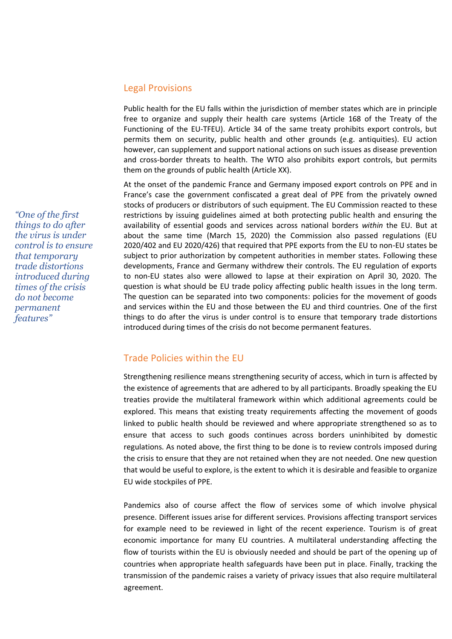#### Legal Provisions

Public health for the EU falls within the jurisdiction of member states which are in principle free to organize and supply their health care systems (Article 168 of the Treaty of the Functioning of the EU-TFEU). Article 34 of the same treaty prohibits export controls, but permits them on security, public health and other grounds (e.g. antiquities). EU action however, can supplement and support national actions on such issues as disease prevention and cross-border threats to health. The WTO also prohibits export controls, but permits them on the grounds of public health (Article XX).

At the onset of the pandemic France and Germany imposed export controls on PPE and in France's case the government confiscated a great deal of PPE from the privately owned stocks of producers or distributors of such equipment. The EU Commission reacted to these restrictions by issuing guidelines aimed at both protecting public health and ensuring the availability of essential goods and services across national borders *within* the EU. But at about the same time (March 15, 2020) the Commission also passed regulations (EU 2020/402 and EU 2020/426) that required that PPE exports from the EU to non-EU states be subject to prior authorization by competent authorities in member states. Following these developments, France and Germany withdrew their controls. The EU regulation of exports to non-EU states also were allowed to lapse at their expiration on April 30, 2020. The question is what should be EU trade policy affecting public health issues in the long term. The question can be separated into two components: policies for the movement of goods and services within the EU and those between the EU and third countries. One of the first things to do after the virus is under control is to ensure that temporary trade distortions introduced during times of the crisis do not become permanent features.

#### Trade Policies within the EU

Strengthening resilience means strengthening security of access, which in turn is affected by the existence of agreements that are adhered to by all participants. Broadly speaking the EU treaties provide the multilateral framework within which additional agreements could be explored. This means that existing treaty requirements affecting the movement of goods linked to public health should be reviewed and where appropriate strengthened so as to ensure that access to such goods continues across borders uninhibited by domestic regulations. As noted above, the first thing to be done is to review controls imposed during the crisis to ensure that they are not retained when they are not needed. One new question that would be useful to explore, is the extent to which it is desirable and feasible to organize EU wide stockpiles of PPE.

Pandemics also of course affect the flow of services some of which involve physical presence. Different issues arise for different services. Provisions affecting transport services for example need to be reviewed in light of the recent experience. Tourism is of great economic importance for many EU countries. A multilateral understanding affecting the flow of tourists within the EU is obviously needed and should be part of the opening up of countries when appropriate health safeguards have been put in place. Finally, tracking the transmission of the pandemic raises a variety of privacy issues that also require multilateral agreement.

*"One of the first things to do after the virus is under control is to ensure that temporary trade distortions introduced during times of the crisis do not become permanent features"*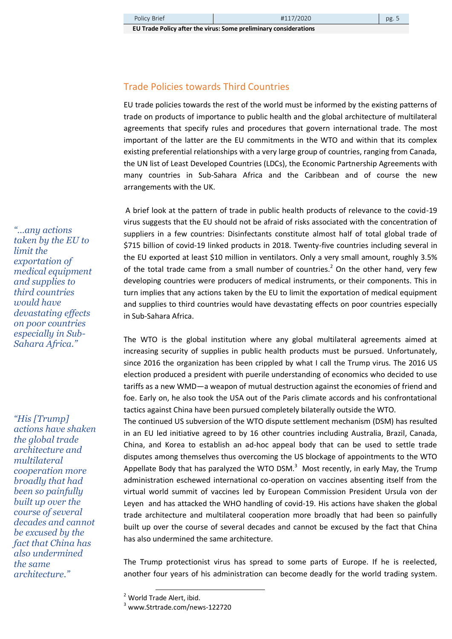**EU Trade Policy after the virus: Some preliminary considerations**

#### Trade Policies towards Third Countries

EU trade policies towards the rest of the world must be informed by the existing patterns of trade on products of importance to public health and the global architecture of multilateral agreements that specify rules and procedures that govern international trade. The most important of the latter are the EU commitments in the WTO and within that its complex existing preferential relationships with a very large group of countries, ranging from Canada, the UN list of Least Developed Countries (LDCs), the Economic Partnership Agreements with many countries in Sub-Sahara Africa and the Caribbean and of course the new arrangements with the UK.

A brief look at the pattern of trade in public health products of relevance to the covid-19 virus suggests that the EU should not be afraid of risks associated with the concentration of suppliers in a few countries: Disinfectants constitute almost half of total global trade of \$715 billion of covid-19 linked products in 2018. Twenty-five countries including several in the EU exported at least \$10 million in ventilators. Only a very small amount, roughly 3.5% of the total trade came from a small number of countries.<sup>2</sup> On the other hand, very few developing countries were producers of medical instruments, or their components. This in turn implies that any actions taken by the EU to limit the exportation of medical equipment and supplies to third countries would have devastating effects on poor countries especially in Sub-Sahara Africa.

The WTO is the global institution where any global multilateral agreements aimed at increasing security of supplies in public health products must be pursued. Unfortunately, since 2016 the organization has been crippled by what I call the Trump virus. The 2016 US election produced a president with puerile understanding of economics who decided to use tariffs as a new WMD—a weapon of mutual destruction against the economies of friend and foe. Early on, he also took the USA out of the Paris climate accords and his confrontational tactics against China have been pursued completely bilaterally outside the WTO.

The continued US subversion of the WTO dispute settlement mechanism (DSM) has resulted in an EU led initiative agreed to by 16 other countries including Australia, Brazil, Canada, China, and Korea to establish an ad-hoc appeal body that can be used to settle trade disputes among themselves thus overcoming the US blockage of appointments to the WTO Appellate Body that has paralyzed the WTO DSM. $^3$  Most recently, in early May, the Trump administration eschewed international co-operation on vaccines absenting itself from the virtual world summit of vaccines led by European Commission President Ursula von der Leyen and has attacked the WHO handling of covid-19. His actions have shaken the global trade architecture and multilateral cooperation more broadly that had been so painfully built up over the course of several decades and cannot be excused by the fact that China has also undermined the same architecture.

The Trump protectionist virus has spread to some parts of Europe. If he is reelected, another four years of his administration can become deadly for the world trading system.

-

*"…any actions taken by the EU to limit the exportation of medical equipment and supplies to third countries would have devastating effects on poor countries especially in Sub-Sahara Africa."*

*"His [Trump] actions have shaken the global trade architecture and multilateral cooperation more broadly that had been so painfully built up over the course of several decades and cannot be excused by the fact that China has also undermined the same architecture."*

<sup>2</sup> World Trade Alert, ibid.

<sup>3</sup> www.Strtrade.com/news-122720